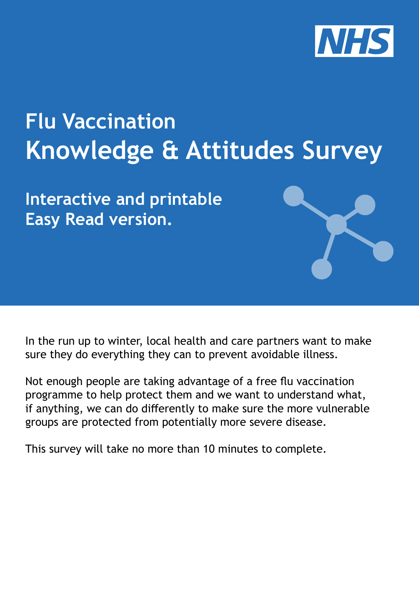

# **Flu Vaccination Knowledge & Attitudes Survey**

**Interactive and printable Easy Read version.**

In the run up to winter, local health and care partners want to make sure they do everything they can to prevent avoidable illness.

Not enough people are taking advantage of a free flu vaccination programme to help protect them and we want to understand what, if anything, we can do differently to make sure the more vulnerable groups are protected from potentially more severe disease.

This survey will take no more than 10 minutes to complete.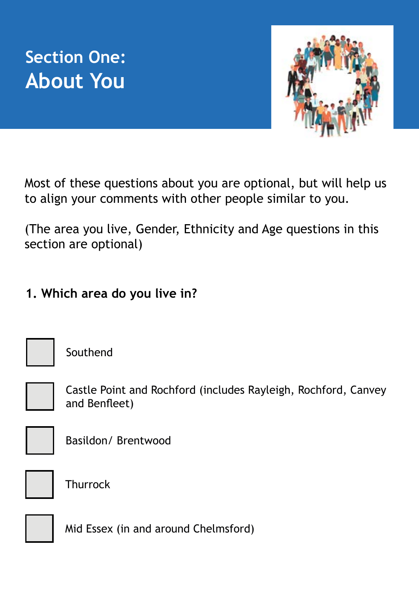



Most of these questions about you are optional, but will help us to align your comments with other people similar to you.

(The area you live, Gender, Ethnicity and Age questions in this section are optional)

**1. Which area do you live in?**

Southend

Castle Point and Rochford (includes Rayleigh, Rochford, Canvey and Benfleet)



Basildon/ Brentwood



**Thurrock** 

Mid Essex (in and around Chelmsford)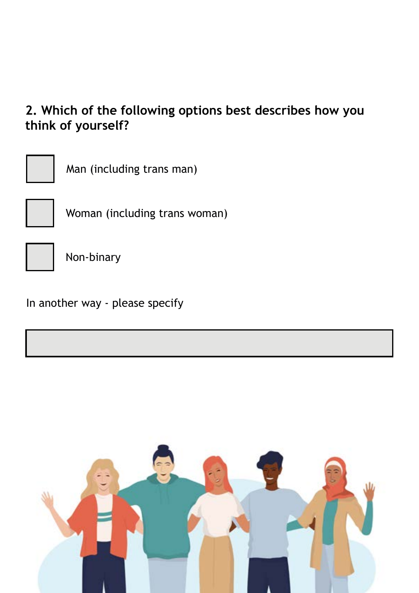#### **2. Which of the following options best describes how you think of yourself?**



Man (including trans man)



Woman (including trans woman)



Non-binary

In another way - please specify

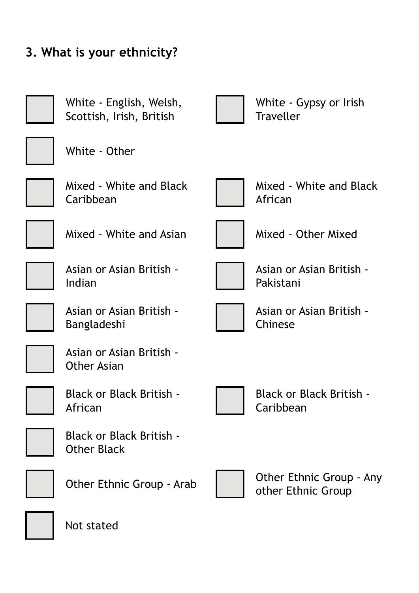



Not stated

**3. What is your ethnicity?**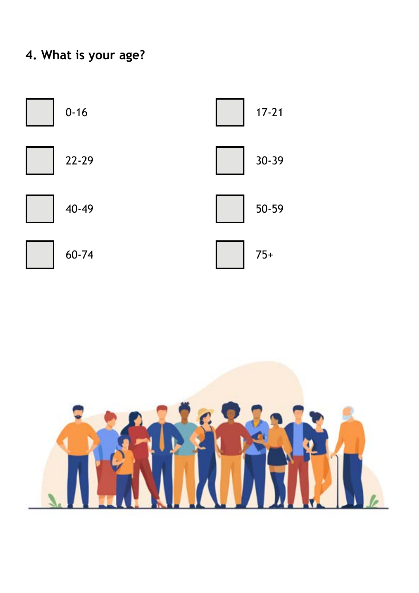### **4. What is your age?**



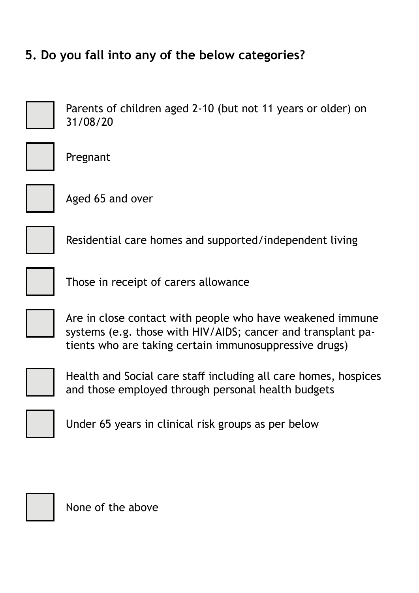#### **5. Do you fall into any of the below categories?**

Parents of children aged 2-10 (but not 11 years or older) on 31/08/20



Pregnant



Aged 65 and over

Residential care homes and supported/independent living

Those in receipt of carers allowance



Are in close contact with people who have weakened immune systems (e.g. those with HIV/AIDS; cancer and transplant patients who are taking certain immunosuppressive drugs)



Health and Social care staff including all care homes, hospices and those employed through personal health budgets



Under 65 years in clinical risk groups as per below



None of the above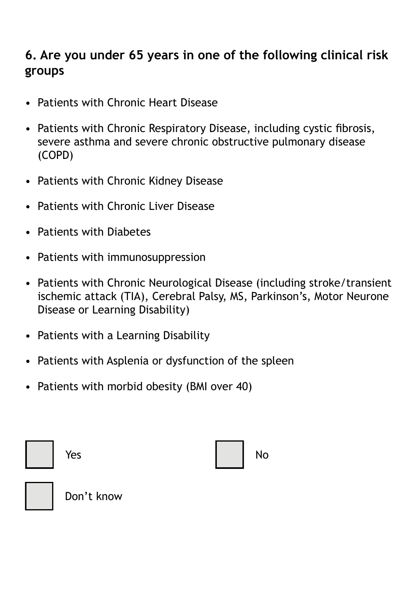#### **6. Are you under 65 years in one of the following clinical risk groups**

- Patients with Chronic Heart Disease
- Patients with Chronic Respiratory Disease, including cystic fibrosis, severe asthma and severe chronic obstructive pulmonary disease (COPD)
- Patients with Chronic Kidney Disease
- Patients with Chronic Liver Disease
- Patients with Diabetes
- Patients with immunosuppression
- Patients with Chronic Neurological Disease (including stroke/transient ischemic attack (TIA), Cerebral Palsy, MS, Parkinson's, Motor Neurone Disease or Learning Disability)
- Patients with a Learning Disability
- Patients with Asplenia or dysfunction of the spleen
- Patients with morbid obesity (BMI over 40)

| Yes | <b>No</b> |
|-----|-----------|
|     |           |



Don't know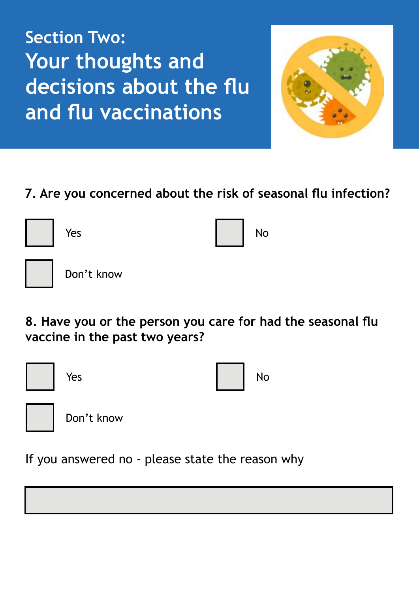**Section Two: Your thoughts and decisions about the flu and flu vaccinations**



#### **7. Are you concerned about the risk of seasonal flu infection?**

| Yes        |  | No |
|------------|--|----|
| Don't know |  |    |

**8. Have you or the person you care for had the seasonal flu vaccine in the past two years?**



If you answered no - please state the reason why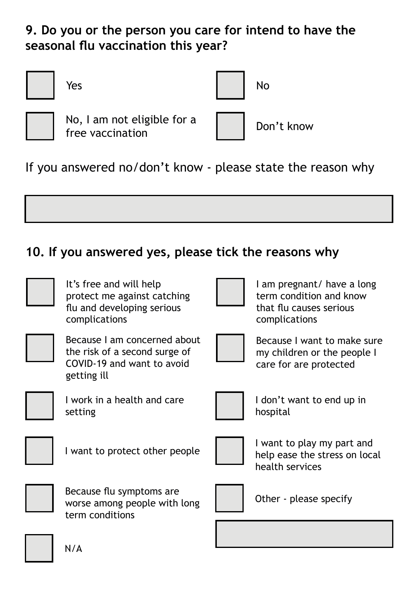**9. Do you or the person you care for intend to have the seasonal flu vaccination this year?**

| Yes                                             |            |
|-------------------------------------------------|------------|
| No, I am not eligible for a<br>free vaccination | Don't know |

If you answered no/don't know - please state the reason why

#### **10. If you answered yes, please tick the reasons why**

| It's free and will help<br>protect me against catching<br>flu and developing serious<br>complications      | I am pregnant/ have a long<br>term condition and know<br>that flu causes serious<br>complications |
|------------------------------------------------------------------------------------------------------------|---------------------------------------------------------------------------------------------------|
| Because I am concerned about<br>the risk of a second surge of<br>COVID-19 and want to avoid<br>getting ill | Because I want to make sure<br>my children or the people I<br>care for are protected              |
| I work in a health and care<br>setting                                                                     | I don't want to end up in<br>hospital                                                             |
| I want to protect other people                                                                             | I want to play my part and<br>help ease the stress on local<br>health services                    |
| Because flu symptoms are<br>worse among people with long<br>term conditions                                | Other - please specify                                                                            |
| N/A                                                                                                        |                                                                                                   |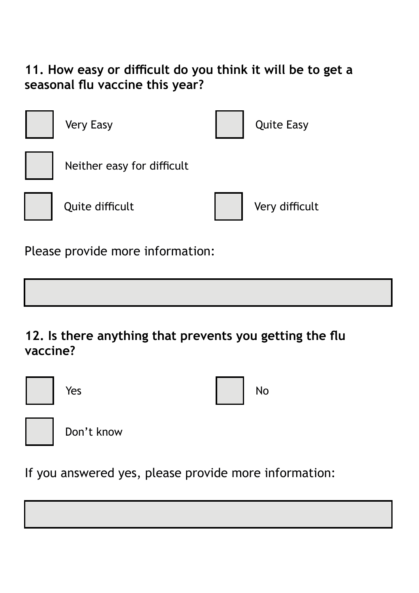#### **11. How easy or difficult do you think it will be to get a seasonal flu vaccine this year?**



**12. Is there anything that prevents you getting the flu vaccine?**

| Yes        | No |
|------------|----|
| Don't know |    |

If you answered yes, please provide more information: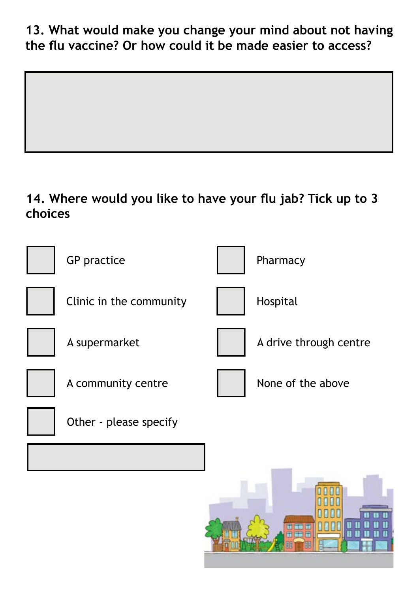**13. What would make you change your mind about not having the flu vaccine? Or how could it be made easier to access?**

#### **14. Where would you like to have your flu jab? Tick up to 3 choices**



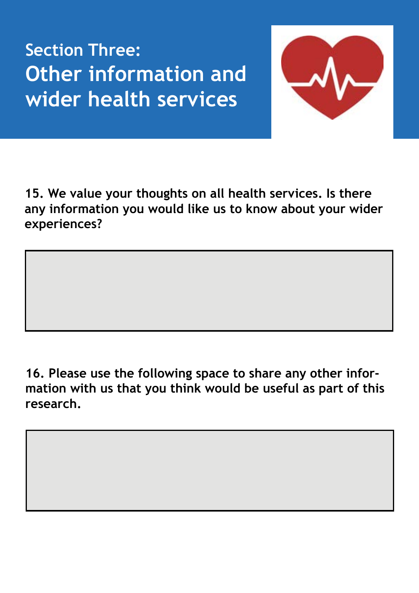**Section Three: Other information and wider health services**



**15. We value your thoughts on all health services. Is there any information you would like us to know about your wider experiences?**

**16. Please use the following space to share any other information with us that you think would be useful as part of this research.**